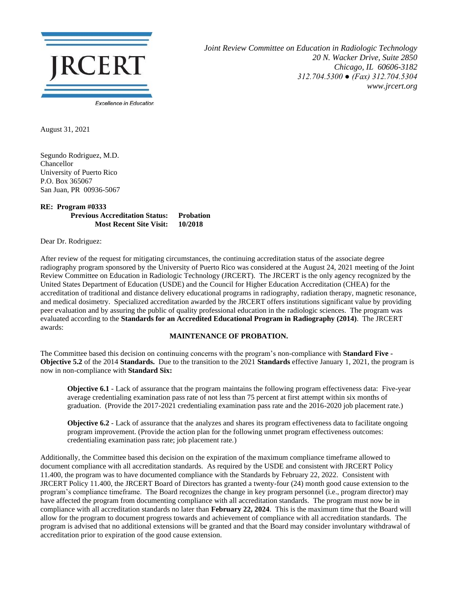

*Joint Review Committee on Education in Radiologic Technology 20 N. Wacker Drive, Suite 2850 Chicago, IL 60606-3182 312.704.5300 ● (Fax) 312.704.5304 www.jrcert.org*

August 31, 2021

Segundo Rodriguez, M.D. Chancellor University of Puerto Rico P.O. Box 365067 San Juan, PR 00936-5067

## **RE: Program #0333 Previous Accreditation Status: Probation Most Recent Site Visit: 10/2018**

Dear Dr. Rodriguez:

After review of the request for mitigating circumstances, the continuing accreditation status of the associate degree radiography program sponsored by the University of Puerto Rico was considered at the August 24, 2021 meeting of the Joint Review Committee on Education in Radiologic Technology (JRCERT). The JRCERT is the only agency recognized by the United States Department of Education (USDE) and the Council for Higher Education Accreditation (CHEA) for the accreditation of traditional and distance delivery educational programs in radiography, radiation therapy, magnetic resonance, and medical dosimetry. Specialized accreditation awarded by the JRCERT offers institutions significant value by providing peer evaluation and by assuring the public of quality professional education in the radiologic sciences. The program was evaluated according to the **Standards for an Accredited Educational Program in Radiography (2014)**. The JRCERT awards:

## **MAINTENANCE OF PROBATION.**

The Committee based this decision on continuing concerns with the program's non-compliance with **Standard Five - Objective 5.2** of the 2014 **Standards.** Due to the transition to the 2021 **Standards** effective January 1, 2021, the program is now in non-compliance with **Standard Six:**

**Objective 6.1** - Lack of assurance that the program maintains the following program effectiveness data: Five-year average credentialing examination pass rate of not less than 75 percent at first attempt within six months of graduation. (Provide the 2017-2021 credentialing examination pass rate and the 2016-2020 job placement rate.)

**Objective 6.2** - Lack of assurance that the analyzes and shares its program effectiveness data to facilitate ongoing program improvement. (Provide the action plan for the following unmet program effectiveness outcomes: credentialing examination pass rate; job placement rate.)

Additionally, the Committee based this decision on the expiration of the maximum compliance timeframe allowed to document compliance with all accreditation standards. As required by the USDE and consistent with JRCERT Policy 11.400, the program was to have documented compliance with the Standards by February 22, 2022. Consistent with JRCERT Policy 11.400, the JRCERT Board of Directors has granted a twenty-four (24) month good cause extension to the program's compliance timeframe. The Board recognizes the change in key program personnel (i.e., program director) may have affected the program from documenting compliance with all accreditation standards. The program must now be in compliance with all accreditation standards no later than **February 22, 2024**. This is the maximum time that the Board will allow for the program to document progress towards and achievement of compliance with all accreditation standards. The program is advised that no additional extensions will be granted and that the Board may consider involuntary withdrawal of accreditation prior to expiration of the good cause extension.